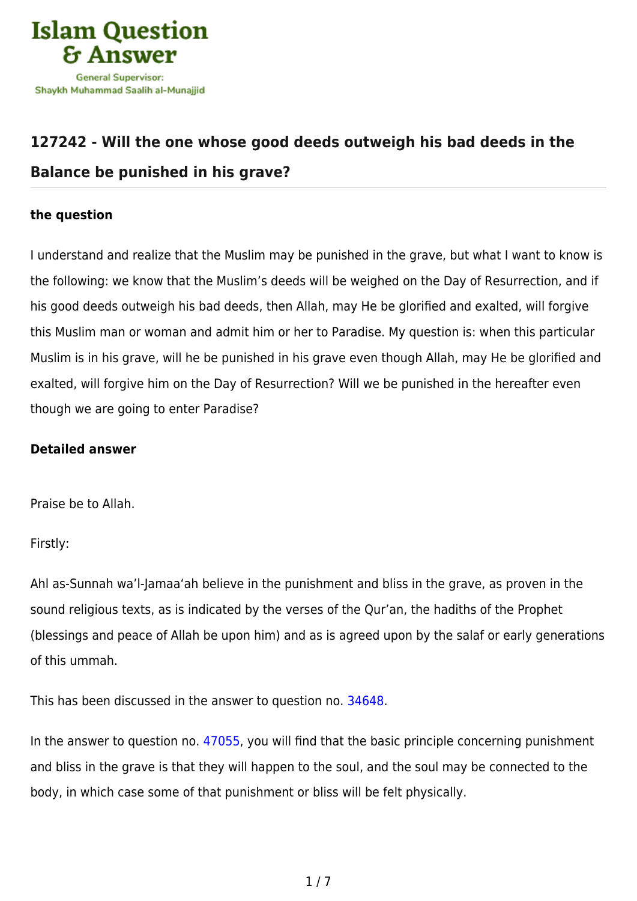

## **[127242 - Will the one whose good deeds outweigh his bad deeds in the](https://islamqa.com/en/answers/127242/will-the-one-whose-good-deeds-outweigh-his-bad-deeds-in-the-balance-be-punished-in-his-grave) [Balance be punished in his grave?](https://islamqa.com/en/answers/127242/will-the-one-whose-good-deeds-outweigh-his-bad-deeds-in-the-balance-be-punished-in-his-grave)**

## **the question**

I understand and realize that the Muslim may be punished in the grave, but what I want to know is the following: we know that the Muslim's deeds will be weighed on the Day of Resurrection, and if his good deeds outweigh his bad deeds, then Allah, may He be glorified and exalted, will forgive this Muslim man or woman and admit him or her to Paradise. My question is: when this particular Muslim is in his grave, will he be punished in his grave even though Allah, may He be glorified and exalted, will forgive him on the Day of Resurrection? Will we be punished in the hereafter even though we are going to enter Paradise?

## **Detailed answer**

Praise be to Allah.

Firstly:

Ahl as-Sunnah wa'l-Jamaa'ah believe in the punishment and bliss in the grave, as proven in the sound religious texts, as is indicated by the verses of the Qur'an, the hadiths of the Prophet (blessings and peace of Allah be upon him) and as is agreed upon by the salaf or early generations of this ummah.

This has been discussed in the answer to question no. [34648](https://islamqa.com/en/answers/34648).

In the answer to question no. [47055](https://islamqa.com/en/answers/47055), you will find that the basic principle concerning punishment and bliss in the grave is that they will happen to the soul, and the soul may be connected to the body, in which case some of that punishment or bliss will be felt physically.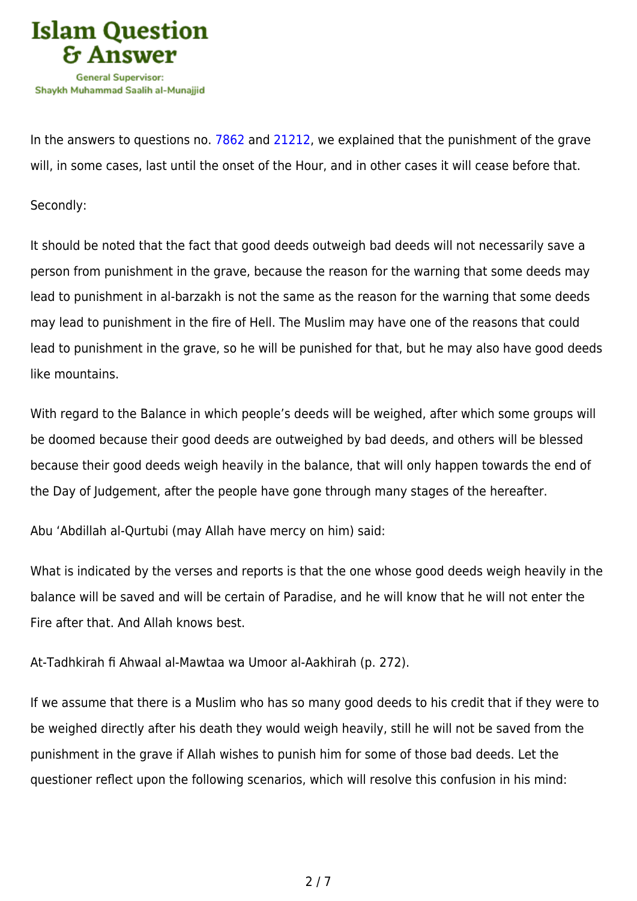

In the answers to questions no. [7862](https://islamqa.com/en/answers/7862) and [21212](https://islamqa.com/en/answers/21212), we explained that the punishment of the grave will, in some cases, last until the onset of the Hour, and in other cases it will cease before that.

Secondly:

It should be noted that the fact that good deeds outweigh bad deeds will not necessarily save a person from punishment in the grave, because the reason for the warning that some deeds may lead to punishment in al-barzakh is not the same as the reason for the warning that some deeds may lead to punishment in the fire of Hell. The Muslim may have one of the reasons that could lead to punishment in the grave, so he will be punished for that, but he may also have good deeds like mountains.

With regard to the Balance in which people's deeds will be weighed, after which some groups will be doomed because their good deeds are outweighed by bad deeds, and others will be blessed because their good deeds weigh heavily in the balance, that will only happen towards the end of the Day of Judgement, after the people have gone through many stages of the hereafter.

Abu 'Abdillah al-Qurtubi (may Allah have mercy on him) said:

What is indicated by the verses and reports is that the one whose good deeds weigh heavily in the balance will be saved and will be certain of Paradise, and he will know that he will not enter the Fire after that. And Allah knows best.

At-Tadhkirah fi Ahwaal al-Mawtaa wa Umoor al-Aakhirah (p. 272).

If we assume that there is a Muslim who has so many good deeds to his credit that if they were to be weighed directly after his death they would weigh heavily, still he will not be saved from the punishment in the grave if Allah wishes to punish him for some of those bad deeds. Let the questioner reflect upon the following scenarios, which will resolve this confusion in his mind: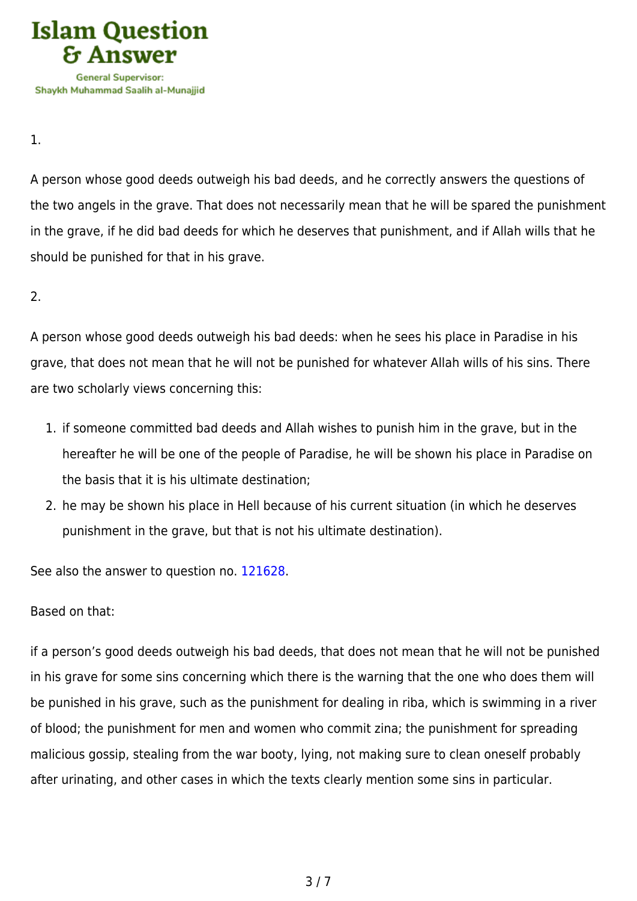

1.

A person whose good deeds outweigh his bad deeds, and he correctly answers the questions of the two angels in the grave. That does not necessarily mean that he will be spared the punishment in the grave, if he did bad deeds for which he deserves that punishment, and if Allah wills that he should be punished for that in his grave.

2.

A person whose good deeds outweigh his bad deeds: when he sees his place in Paradise in his grave, that does not mean that he will not be punished for whatever Allah wills of his sins. There are two scholarly views concerning this:

- 1. if someone committed bad deeds and Allah wishes to punish him in the grave, but in the hereafter he will be one of the people of Paradise, he will be shown his place in Paradise on the basis that it is his ultimate destination;
- 2. he may be shown his place in Hell because of his current situation (in which he deserves punishment in the grave, but that is not his ultimate destination).

See also the answer to question no. [121628.](https://islamqa.com/en/answers/121628)

Based on that:

if a person's good deeds outweigh his bad deeds, that does not mean that he will not be punished in his grave for some sins concerning which there is the warning that the one who does them will be punished in his grave, such as the punishment for dealing in riba, which is swimming in a river of blood; the punishment for men and women who commit zina; the punishment for spreading malicious gossip, stealing from the war booty, lying, not making sure to clean oneself probably after urinating, and other cases in which the texts clearly mention some sins in particular.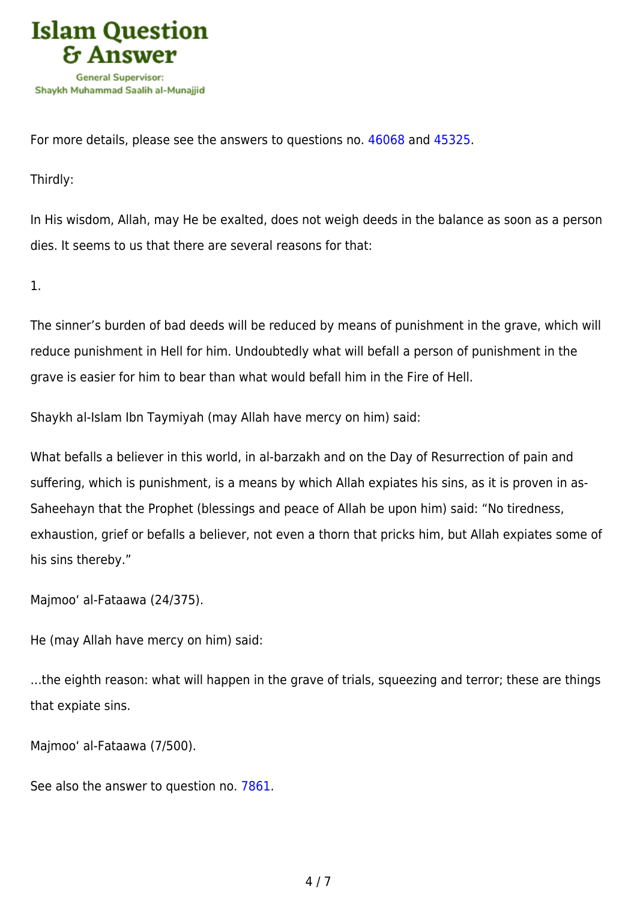

For more details, please see the answers to questions no. [46068 a](https://islamqa.com/en/answers/46068)nd [45325.](https://islamqa.com/en/answers/45325)

Thirdly:

In His wisdom, Allah, may He be exalted, does not weigh deeds in the balance as soon as a person dies. It seems to us that there are several reasons for that:

1.

The sinner's burden of bad deeds will be reduced by means of punishment in the grave, which will reduce punishment in Hell for him. Undoubtedly what will befall a person of punishment in the grave is easier for him to bear than what would befall him in the Fire of Hell.

Shaykh al-Islam Ibn Taymiyah (may Allah have mercy on him) said:

What befalls a believer in this world, in al-barzakh and on the Day of Resurrection of pain and suffering, which is punishment, is a means by which Allah expiates his sins, as it is proven in as-Saheehayn that the Prophet (blessings and peace of Allah be upon him) said: "No tiredness, exhaustion, grief or befalls a believer, not even a thorn that pricks him, but Allah expiates some of his sins thereby."

Majmoo' al-Fataawa (24/375).

He (may Allah have mercy on him) said:

…the eighth reason: what will happen in the grave of trials, squeezing and terror; these are things that expiate sins.

Majmoo' al-Fataawa (7/500).

See also the answer to question no. [7861.](https://islamqa.com/en/answers/7861)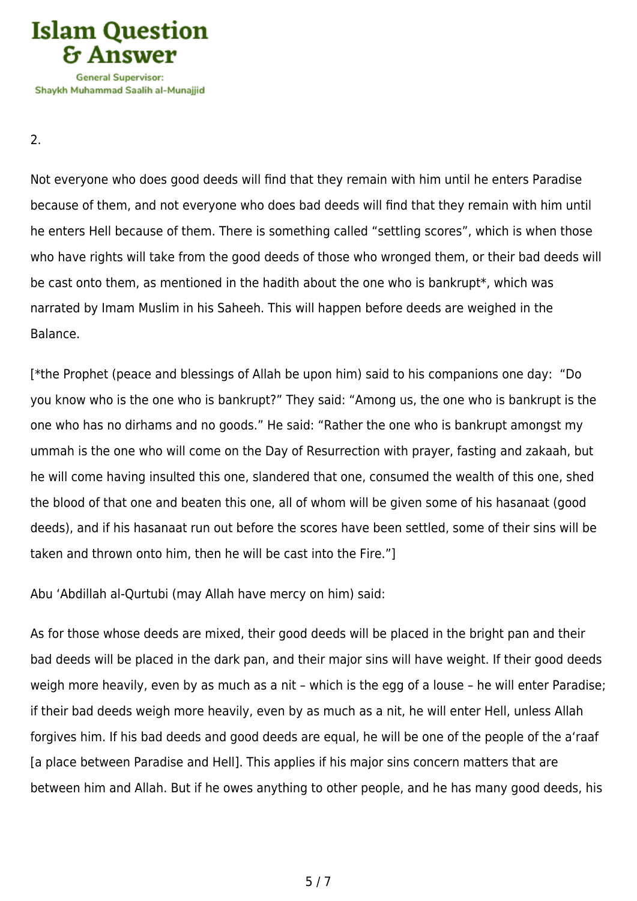

**General Supervisor:** Shavkh Muhammad Saalih al-Munaiiid

2.

Not everyone who does good deeds will find that they remain with him until he enters Paradise because of them, and not everyone who does bad deeds will find that they remain with him until he enters Hell because of them. There is something called "settling scores", which is when those who have rights will take from the good deeds of those who wronged them, or their bad deeds will be cast onto them, as mentioned in the hadith about the one who is bankrupt\*, which was narrated by Imam Muslim in his Saheeh. This will happen before deeds are weighed in the Balance.

[\*the Prophet (peace and blessings of Allah be upon him) said to his companions one day: "Do you know who is the one who is bankrupt?" They said: "Among us, the one who is bankrupt is the one who has no dirhams and no goods." He said: "Rather the one who is bankrupt amongst my ummah is the one who will come on the Day of Resurrection with prayer, fasting and zakaah, but he will come having insulted this one, slandered that one, consumed the wealth of this one, shed the blood of that one and beaten this one, all of whom will be given some of his hasanaat (good deeds), and if his hasanaat run out before the scores have been settled, some of their sins will be taken and thrown onto him, then he will be cast into the Fire."]

Abu 'Abdillah al-Qurtubi (may Allah have mercy on him) said:

As for those whose deeds are mixed, their good deeds will be placed in the bright pan and their bad deeds will be placed in the dark pan, and their major sins will have weight. If their good deeds weigh more heavily, even by as much as a nit – which is the egg of a louse – he will enter Paradise; if their bad deeds weigh more heavily, even by as much as a nit, he will enter Hell, unless Allah forgives him. If his bad deeds and good deeds are equal, he will be one of the people of the a'raaf [a place between Paradise and Hell]. This applies if his major sins concern matters that are between him and Allah. But if he owes anything to other people, and he has many good deeds, his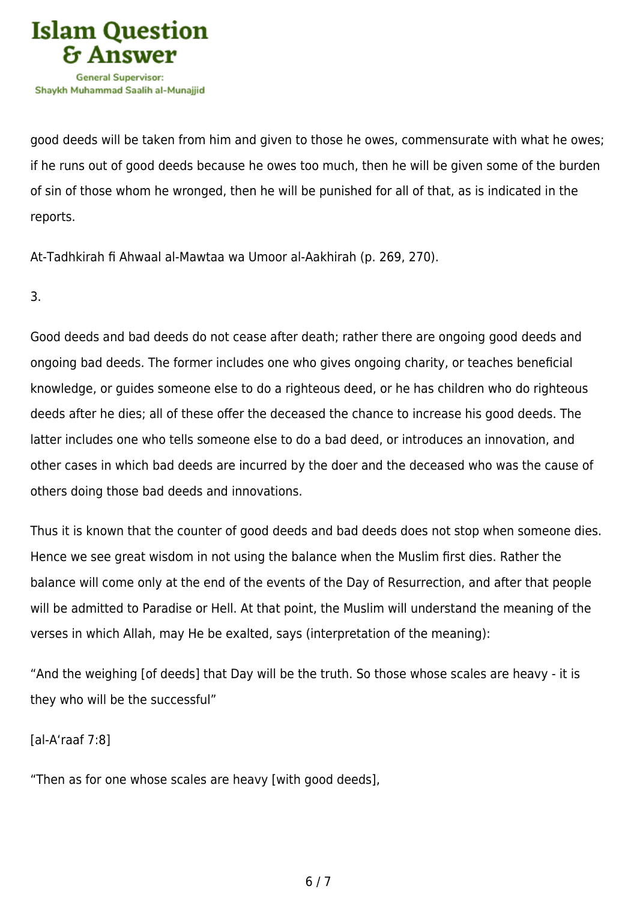

good deeds will be taken from him and given to those he owes, commensurate with what he owes; if he runs out of good deeds because he owes too much, then he will be given some of the burden of sin of those whom he wronged, then he will be punished for all of that, as is indicated in the reports.

At-Tadhkirah fi Ahwaal al-Mawtaa wa Umoor al-Aakhirah (p. 269, 270).

3.

Good deeds and bad deeds do not cease after death; rather there are ongoing good deeds and ongoing bad deeds. The former includes one who gives ongoing charity, or teaches beneficial knowledge, or guides someone else to do a righteous deed, or he has children who do righteous deeds after he dies; all of these offer the deceased the chance to increase his good deeds. The latter includes one who tells someone else to do a bad deed, or introduces an innovation, and other cases in which bad deeds are incurred by the doer and the deceased who was the cause of others doing those bad deeds and innovations.

Thus it is known that the counter of good deeds and bad deeds does not stop when someone dies. Hence we see great wisdom in not using the balance when the Muslim first dies. Rather the balance will come only at the end of the events of the Day of Resurrection, and after that people will be admitted to Paradise or Hell. At that point, the Muslim will understand the meaning of the verses in which Allah, may He be exalted, says (interpretation of the meaning):

"And the weighing [of deeds] that Day will be the truth. So those whose scales are heavy - it is they who will be the successful"

[al-A'raaf 7:8]

"Then as for one whose scales are heavy [with good deeds],